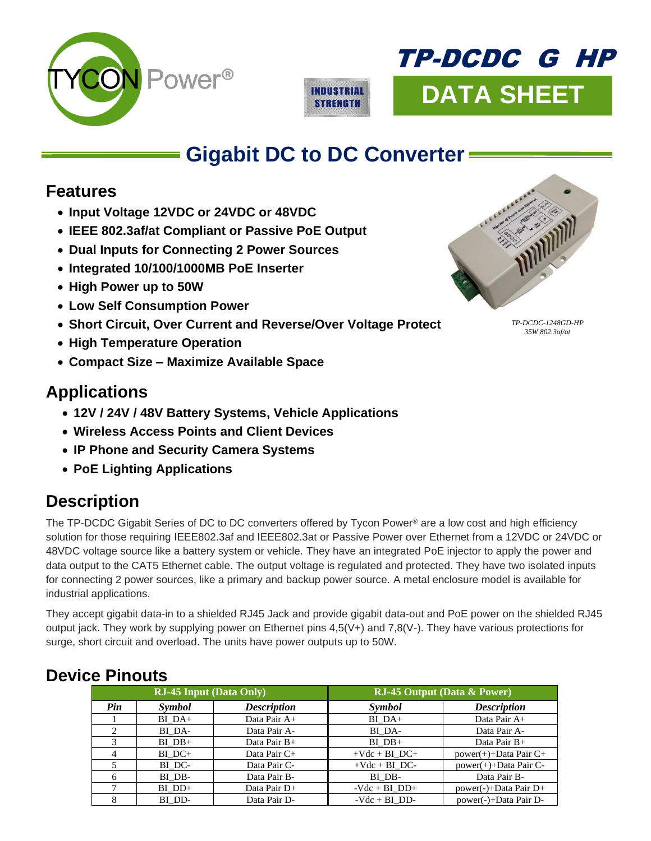





# **Gigabit DC to DC Converter**

## **Features**

- **Input Voltage 12VDC or 24VDC or 48VDC**
- **IEEE 802.3af/at Compliant or Passive PoE Output**
- **Dual Inputs for Connecting 2 Power Sources**
- **Integrated 10/100/1000MB PoE Inserter**
- **High Power up to 50W**
- **Low Self Consumption Power**
- **Short Circuit, Over Current and Reverse/Over Voltage Protect**
- **High Temperature Operation**
- **Compact Size – Maximize Available Space**

*TP-DCDC-1248GD-HP 35W 802.3af/at*

# **Applications**

- **12V / 24V / 48V Battery Systems, Vehicle Applications**
- **Wireless Access Points and Client Devices**
- **IP Phone and Security Camera Systems**
- **PoE Lighting Applications**

# **Description**

The TP-DCDC Gigabit Series of DC to DC converters offered by Tycon Power® are a low cost and high efficiency solution for those requiring IEEE802.3af and IEEE802.3at or Passive Power over Ethernet from a 12VDC or 24VDC or 48VDC voltage source like a battery system or vehicle. They have an integrated PoE injector to apply the power and data output to the CAT5 Ethernet cable. The output voltage is regulated and protected. They have two isolated inputs for connecting 2 power sources, like a primary and backup power source. A metal enclosure model is available for industrial applications.

They accept gigabit data-in to a shielded RJ45 Jack and provide gigabit data-out and PoE power on the shielded RJ45 output jack. They work by supplying power on Ethernet pins 4,5(V+) and 7,8(V-). They have various protections for surge, short circuit and overload. The units have power outputs up to 50W.

| <b>RJ-45 Input (Data Only)</b> |            |                    | <b>RJ-45 Output (Data &amp; Power)</b> |                           |  |  |
|--------------------------------|------------|--------------------|----------------------------------------|---------------------------|--|--|
| Pin                            | Symbol     | <b>Description</b> | <i>Symbol</i>                          | <b>Description</b>        |  |  |
|                                | $BI$ $DA+$ | Data Pair A+       | $BI$ $DA+$                             | Data Pair A+              |  |  |
| 2                              | BI DA-     | Data Pair A-       | BI DA-                                 | Data Pair A-              |  |  |
| 3                              | $BI$ $DB+$ | Data Pair B+       | $BI DB+$                               | Data Pair B+              |  |  |
| 4                              | $BI$ $DC+$ | Data Pair C+       | $+Vdc + BI$ DC+                        | $power(+) + Data Pair C+$ |  |  |
|                                | BI DC-     | Data Pair C-       | $+Vdc + BI$ DC-                        | power(+)+Data Pair C-     |  |  |
| 6                              | BI DB-     | Data Pair B-       | BI DB-                                 | Data Pair B-              |  |  |
|                                | $BI$ $DD+$ | Data Pair D+       | $-Vdc + BI$ DD+                        | power(-)+Data Pair D+     |  |  |
| 8                              | BI DD-     | Data Pair D-       | $-Vdc + BI DD -$                       | power(-)+Data Pair D-     |  |  |

# **Device Pinouts**